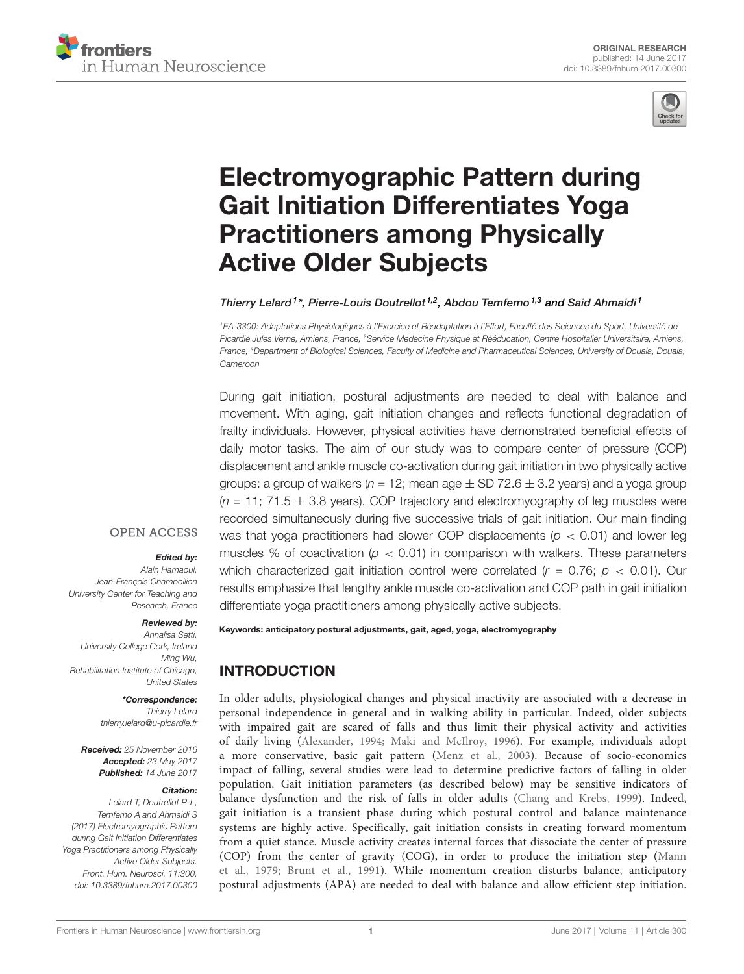



# [Electromyographic Pattern during](http://journal.frontiersin.org/article/10.3389/fnhum.2017.00300/abstract) [Gait Initiation Differentiates Yoga](http://journal.frontiersin.org/article/10.3389/fnhum.2017.00300/abstract) [Practitioners among Physically](http://journal.frontiersin.org/article/10.3389/fnhum.2017.00300/abstract) [Active Older Subjects](http://journal.frontiersin.org/article/10.3389/fnhum.2017.00300/abstract)

#### [Thierry Lelard](http://loop.frontiersin.org/people/66834/overview)<sup>1\*</sup>, Pierre-Louis Doutrellot<sup>1,2</sup>, Abdou Temfemo<sup>1,3</sup> and [Said Ahmaidi](http://loop.frontiersin.org/people/88362/overview)<sup>1</sup>

<sup>1</sup>EA-3300: Adaptations Physiologiques à l'Exercice et Réadaptation à l'Effort, Faculté des Sciences du Sport, Université de Picardie Jules Verne, Amiens, France, <sup>2</sup>Service Medecine Physique et Rééducation, Centre Hospitalier Universitaire, Amiens, France, <sup>3</sup>Department of Biological Sciences, Faculty of Medicine and Pharmaceutical Sciences, University of Douala, Douala, Cameroon

During gait initiation, postural adjustments are needed to deal with balance and movement. With aging, gait initiation changes and reflects functional degradation of frailty individuals. However, physical activities have demonstrated beneficial effects of daily motor tasks. The aim of our study was to compare center of pressure (COP) displacement and ankle muscle co-activation during gait initiation in two physically active groups: a group of walkers ( $n = 12$ ; mean age  $\pm$  SD 72.6  $\pm$  3.2 years) and a yoga group  $(n = 11; 71.5 \pm 3.8$  years). COP trajectory and electromyography of leg muscles were recorded simultaneously during five successive trials of gait initiation. Our main finding was that yoga practitioners had slower COP displacements ( $p < 0.01$ ) and lower leg muscles % of coactivation ( $p < 0.01$ ) in comparison with walkers. These parameters which characterized gait initiation control were correlated  $(r = 0.76; p < 0.01)$ . Our results emphasize that lengthy ankle muscle co-activation and COP path in gait initiation differentiate yoga practitioners among physically active subjects.

#### **OPEN ACCESS**

#### Edited by:

Alain Hamaoui, Jean-François Champollion University Center for Teaching and Research, France

#### Reviewed by:

Annalisa Setti, University College Cork, Ireland Ming Wu, Rehabilitation Institute of Chicago, United States

#### \*Correspondence:

Thierry Lelard [thierry.lelard@u-picardie.fr](mailto:thierry.lelard@u-picardie.fr)

Received: 25 November 2016 Accepted: 23 May 2017 Published: 14 June 2017

#### Citation:

Lelard T, Doutrellot P-L, Temfemo A and Ahmaidi S (2017) Electromyographic Pattern during Gait Initiation Differentiates Yoga Practitioners among Physically Active Older Subjects. Front. Hum. Neurosci. 11:300. [doi: 10.3389/fnhum.2017.00300](https://doi.org/10.3389/fnhum.2017.00300) Keywords: anticipatory postural adjustments, gait, aged, yoga, electromyography

# INTRODUCTION

In older adults, physiological changes and physical inactivity are associated with a decrease in personal independence in general and in walking ability in particular. Indeed, older subjects with impaired gait are scared of falls and thus limit their physical activity and activities of daily living [\(Alexander,](#page-4-0) [1994;](#page-4-0) [Maki and McIlroy,](#page-5-0) [1996\)](#page-5-0). For example, individuals adopt a more conservative, basic gait pattern [\(Menz et al.,](#page-5-1) [2003\)](#page-5-1). Because of socio-economics impact of falling, several studies were lead to determine predictive factors of falling in older population. Gait initiation parameters (as described below) may be sensitive indicators of balance dysfunction and the risk of falls in older adults [\(Chang and Krebs,](#page-4-1) [1999\)](#page-4-1). Indeed, gait initiation is a transient phase during which postural control and balance maintenance systems are highly active. Specifically, gait initiation consists in creating forward momentum from a quiet stance. Muscle activity creates internal forces that dissociate the center of pressure (COP) from the center of gravity (COG), in order to produce the initiation step [\(Mann](#page-5-2) [et al.,](#page-5-2) [1979;](#page-5-2) [Brunt et al.,](#page-4-2) [1991\)](#page-4-2). While momentum creation disturbs balance, anticipatory postural adjustments (APA) are needed to deal with balance and allow efficient step initiation.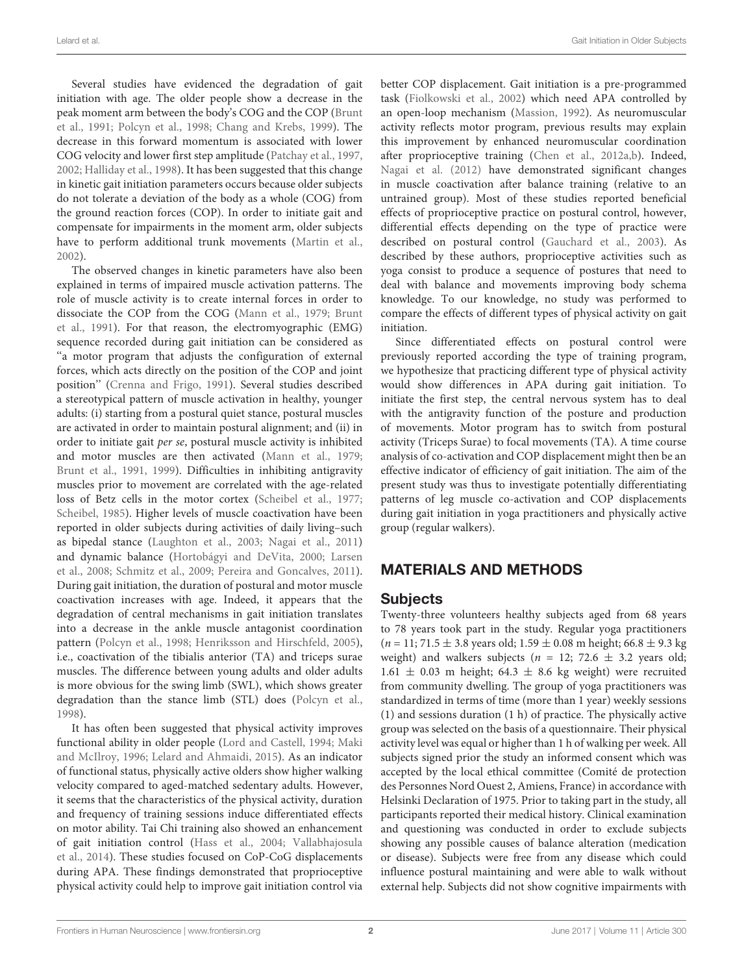Several studies have evidenced the degradation of gait initiation with age. The older people show a decrease in the peak moment arm between the body's COG and the COP [\(Brunt](#page-4-2) [et al.,](#page-4-2) [1991;](#page-4-2) [Polcyn et al.,](#page-5-3) [1998;](#page-5-3) [Chang and Krebs,](#page-4-1) [1999\)](#page-4-1). The decrease in this forward momentum is associated with lower COG velocity and lower first step amplitude [\(Patchay et al.,](#page-5-4) [1997,](#page-5-4) [2002;](#page-5-5) [Halliday et al.,](#page-5-6) [1998\)](#page-5-6). It has been suggested that this change in kinetic gait initiation parameters occurs because older subjects do not tolerate a deviation of the body as a whole (COG) from the ground reaction forces (COP). In order to initiate gait and compensate for impairments in the moment arm, older subjects have to perform additional trunk movements [\(Martin et al.,](#page-5-7) [2002\)](#page-5-7).

The observed changes in kinetic parameters have also been explained in terms of impaired muscle activation patterns. The role of muscle activity is to create internal forces in order to dissociate the COP from the COG [\(Mann et al.,](#page-5-2) [1979;](#page-5-2) [Brunt](#page-4-2) [et al.,](#page-4-2) [1991\)](#page-4-2). For that reason, the electromyographic (EMG) sequence recorded during gait initiation can be considered as "a motor program that adjusts the configuration of external forces, which acts directly on the position of the COP and joint position'' [\(Crenna and Frigo,](#page-4-3) [1991\)](#page-4-3). Several studies described a stereotypical pattern of muscle activation in healthy, younger adults: (i) starting from a postural quiet stance, postural muscles are activated in order to maintain postural alignment; and (ii) in order to initiate gait per se, postural muscle activity is inhibited and motor muscles are then activated [\(Mann et al.,](#page-5-2) [1979;](#page-5-2) [Brunt et al.,](#page-4-2) [1991,](#page-4-2) [1999\)](#page-4-4). Difficulties in inhibiting antigravity muscles prior to movement are correlated with the age-related loss of Betz cells in the motor cortex [\(Scheibel et al.,](#page-5-8) [1977;](#page-5-8) [Scheibel,](#page-5-9) [1985\)](#page-5-9). Higher levels of muscle coactivation have been reported in older subjects during activities of daily living–such as bipedal stance [\(Laughton et al.,](#page-5-10) [2003;](#page-5-10) [Nagai et al.,](#page-5-11) [2011\)](#page-5-11) and dynamic balance [\(Hortobágyi and DeVita,](#page-5-12) [2000;](#page-5-12) [Larsen](#page-5-13) [et al.,](#page-5-13) [2008;](#page-5-13) [Schmitz et al.,](#page-5-14) [2009;](#page-5-14) [Pereira and Goncalves,](#page-5-15) [2011\)](#page-5-15). During gait initiation, the duration of postural and motor muscle coactivation increases with age. Indeed, it appears that the degradation of central mechanisms in gait initiation translates into a decrease in the ankle muscle antagonist coordination pattern [\(Polcyn et al.,](#page-5-3) [1998;](#page-5-3) [Henriksson and Hirschfeld,](#page-5-16) [2005\)](#page-5-16), i.e., coactivation of the tibialis anterior (TA) and triceps surae muscles. The difference between young adults and older adults is more obvious for the swing limb (SWL), which shows greater degradation than the stance limb (STL) does [\(Polcyn et al.,](#page-5-3) [1998\)](#page-5-3).

It has often been suggested that physical activity improves functional ability in older people [\(Lord and Castell,](#page-5-17) [1994;](#page-5-17) [Maki](#page-5-0) [and McIlroy,](#page-5-0) [1996;](#page-5-0) [Lelard and Ahmaidi,](#page-5-18) [2015\)](#page-5-18). As an indicator of functional status, physically active olders show higher walking velocity compared to aged-matched sedentary adults. However, it seems that the characteristics of the physical activity, duration and frequency of training sessions induce differentiated effects on motor ability. Tai Chi training also showed an enhancement of gait initiation control [\(Hass et al.,](#page-5-19) [2004;](#page-5-19) [Vallabhajosula](#page-5-20) [et al.,](#page-5-20) [2014\)](#page-5-20). These studies focused on CoP-CoG displacements during APA. These findings demonstrated that proprioceptive physical activity could help to improve gait initiation control via

better COP displacement. Gait initiation is a pre-programmed task [\(Fiolkowski et al.,](#page-5-21) [2002\)](#page-5-21) which need APA controlled by an open-loop mechanism [\(Massion,](#page-5-22) [1992\)](#page-5-22). As neuromuscular activity reflects motor program, previous results may explain this improvement by enhanced neuromuscular coordination after proprioceptive training [\(Chen et al.,](#page-4-5) [2012a,](#page-4-5)[b\)](#page-4-6). Indeed, [Nagai et al.](#page-5-23) [\(2012\)](#page-5-23) have demonstrated significant changes in muscle coactivation after balance training (relative to an untrained group). Most of these studies reported beneficial effects of proprioceptive practice on postural control, however, differential effects depending on the type of practice were described on postural control [\(Gauchard et al.,](#page-5-24) [2003\)](#page-5-24). As described by these authors, proprioceptive activities such as yoga consist to produce a sequence of postures that need to deal with balance and movements improving body schema knowledge. To our knowledge, no study was performed to compare the effects of different types of physical activity on gait initiation.

Since differentiated effects on postural control were previously reported according the type of training program, we hypothesize that practicing different type of physical activity would show differences in APA during gait initiation. To initiate the first step, the central nervous system has to deal with the antigravity function of the posture and production of movements. Motor program has to switch from postural activity (Triceps Surae) to focal movements (TA). A time course analysis of co-activation and COP displacement might then be an effective indicator of efficiency of gait initiation. The aim of the present study was thus to investigate potentially differentiating patterns of leg muscle co-activation and COP displacements during gait initiation in yoga practitioners and physically active group (regular walkers).

# MATERIALS AND METHODS

#### Subjects

Twenty-three volunteers healthy subjects aged from 68 years to 78 years took part in the study. Regular yoga practitioners  $(n = 11; 71.5 \pm 3.8 \text{ years old}; 1.59 \pm 0.08 \text{ m height}; 66.8 \pm 9.3 \text{ kg})$ weight) and walkers subjects ( $n = 12$ ; 72.6  $\pm$  3.2 years old;  $1.61 \pm 0.03$  m height; 64.3  $\pm$  8.6 kg weight) were recruited from community dwelling. The group of yoga practitioners was standardized in terms of time (more than 1 year) weekly sessions (1) and sessions duration (1 h) of practice. The physically active group was selected on the basis of a questionnaire. Their physical activity level was equal or higher than 1 h of walking per week. All subjects signed prior the study an informed consent which was accepted by the local ethical committee (Comité de protection des Personnes Nord Ouest 2, Amiens, France) in accordance with Helsinki Declaration of 1975. Prior to taking part in the study, all participants reported their medical history. Clinical examination and questioning was conducted in order to exclude subjects showing any possible causes of balance alteration (medication or disease). Subjects were free from any disease which could influence postural maintaining and were able to walk without external help. Subjects did not show cognitive impairments with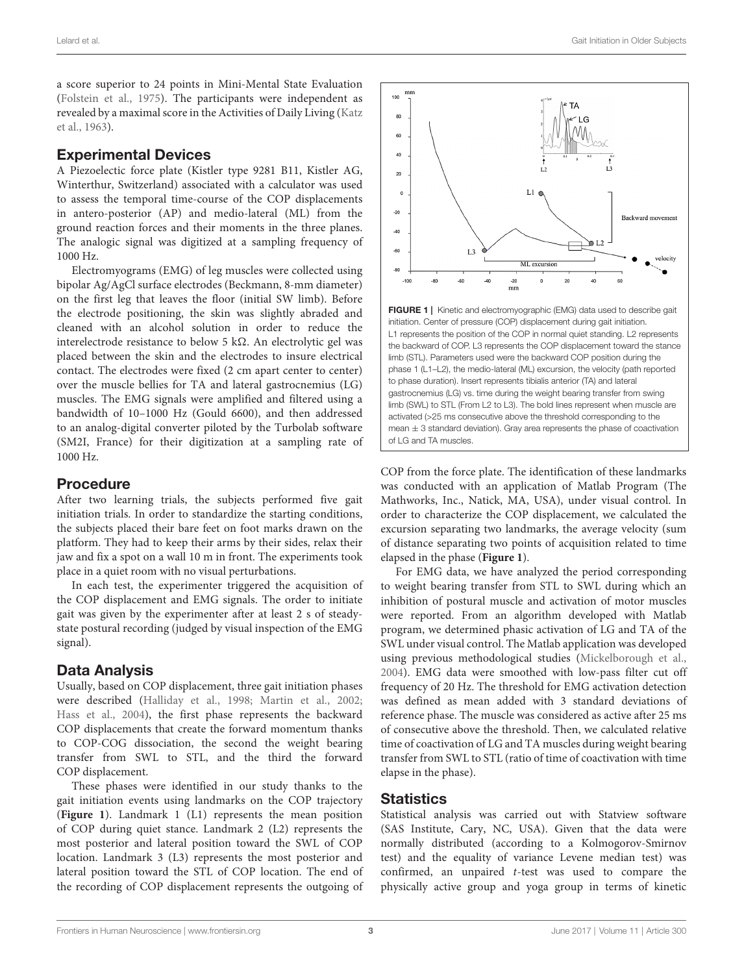a score superior to 24 points in Mini-Mental State Evaluation [\(Folstein et al.,](#page-5-25) [1975\)](#page-5-25). The participants were independent as revealed by a maximal score in the Activities of Daily Living [\(Katz](#page-5-26) [et al.,](#page-5-26) [1963\)](#page-5-26).

## Experimental Devices

A Piezoelectic force plate (Kistler type 9281 B11, Kistler AG, Winterthur, Switzerland) associated with a calculator was used to assess the temporal time-course of the COP displacements in antero-posterior (AP) and medio-lateral (ML) from the ground reaction forces and their moments in the three planes. The analogic signal was digitized at a sampling frequency of 1000 Hz.

Electromyograms (EMG) of leg muscles were collected using bipolar Ag/AgCl surface electrodes (Beckmann, 8-mm diameter) on the first leg that leaves the floor (initial SW limb). Before the electrode positioning, the skin was slightly abraded and cleaned with an alcohol solution in order to reduce the interelectrode resistance to below 5 kΩ. An electrolytic gel was placed between the skin and the electrodes to insure electrical contact. The electrodes were fixed (2 cm apart center to center) over the muscle bellies for TA and lateral gastrocnemius (LG) muscles. The EMG signals were amplified and filtered using a bandwidth of 10–1000 Hz (Gould 6600), and then addressed to an analog-digital converter piloted by the Turbolab software (SM2I, France) for their digitization at a sampling rate of 1000 Hz.

#### Procedure

After two learning trials, the subjects performed five gait initiation trials. In order to standardize the starting conditions, the subjects placed their bare feet on foot marks drawn on the platform. They had to keep their arms by their sides, relax their jaw and fix a spot on a wall 10 m in front. The experiments took place in a quiet room with no visual perturbations.

In each test, the experimenter triggered the acquisition of the COP displacement and EMG signals. The order to initiate gait was given by the experimenter after at least 2 s of steadystate postural recording (judged by visual inspection of the EMG signal).

### Data Analysis

Usually, based on COP displacement, three gait initiation phases were described [\(Halliday et al.,](#page-5-6) [1998;](#page-5-6) [Martin et al.,](#page-5-7) [2002;](#page-5-7) [Hass et al.,](#page-5-19) [2004\)](#page-5-19), the first phase represents the backward COP displacements that create the forward momentum thanks to COP-COG dissociation, the second the weight bearing transfer from SWL to STL, and the third the forward COP displacement.

These phases were identified in our study thanks to the gait initiation events using landmarks on the COP trajectory (**[Figure 1](#page-2-0)**). Landmark 1 (L1) represents the mean position of COP during quiet stance. Landmark 2 (L2) represents the most posterior and lateral position toward the SWL of COP location. Landmark 3 (L3) represents the most posterior and lateral position toward the STL of COP location. The end of the recording of COP displacement represents the outgoing of



<span id="page-2-0"></span>L1 represents the position of the COP in normal quiet standing. L2 represents the backward of COP. L3 represents the COP displacement toward the stance limb (STL). Parameters used were the backward COP position during the phase 1 (L1–L2), the medio-lateral (ML) excursion, the velocity (path reported to phase duration). Insert represents tibialis anterior (TA) and lateral gastrocnemius (LG) vs. time during the weight bearing transfer from swing limb (SWL) to STL (From L2 to L3). The bold lines represent when muscle are activated (>25 ms consecutive above the threshold corresponding to the mean  $\pm$  3 standard deviation). Gray area represents the phase of coactivation of LG and TA muscles.

COP from the force plate. The identification of these landmarks was conducted with an application of Matlab Program (The Mathworks, Inc., Natick, MA, USA), under visual control. In order to characterize the COP displacement, we calculated the excursion separating two landmarks, the average velocity (sum of distance separating two points of acquisition related to time elapsed in the phase (**[Figure 1](#page-2-0)**).

For EMG data, we have analyzed the period corresponding to weight bearing transfer from STL to SWL during which an inhibition of postural muscle and activation of motor muscles were reported. From an algorithm developed with Matlab program, we determined phasic activation of LG and TA of the SWL under visual control. The Matlab application was developed using previous methodological studies [\(Mickelborough et al.,](#page-5-27) [2004\)](#page-5-27). EMG data were smoothed with low-pass filter cut off frequency of 20 Hz. The threshold for EMG activation detection was defined as mean added with 3 standard deviations of reference phase. The muscle was considered as active after 25 ms of consecutive above the threshold. Then, we calculated relative time of coactivation of LG and TA muscles during weight bearing transfer from SWL to STL (ratio of time of coactivation with time elapse in the phase).

#### **Statistics**

Statistical analysis was carried out with Statview software (SAS Institute, Cary, NC, USA). Given that the data were normally distributed (according to a Kolmogorov-Smirnov test) and the equality of variance Levene median test) was confirmed, an unpaired t-test was used to compare the physically active group and yoga group in terms of kinetic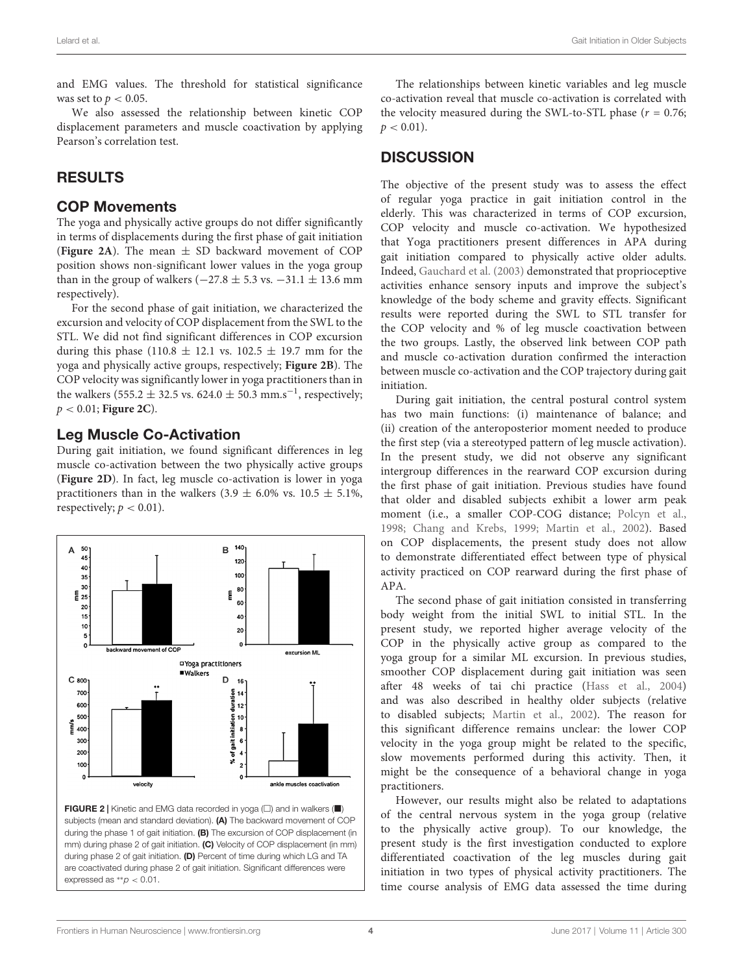and EMG values. The threshold for statistical significance was set to  $p < 0.05$ .

We also assessed the relationship between kinetic COP displacement parameters and muscle coactivation by applying Pearson's correlation test.

# RESULTS

#### COP Movements

The yoga and physically active groups do not differ significantly in terms of displacements during the first phase of gait initiation (**[Figure 2A](#page-3-0)**). The mean  $\pm$  SD backward movement of COP position shows non-significant lower values in the yoga group than in the group of walkers ( $-27.8 \pm 5.3$  vs.  $-31.1 \pm 13.6$  mm respectively).

For the second phase of gait initiation, we characterized the excursion and velocity of COP displacement from the SWL to the STL. We did not find significant differences in COP excursion during this phase (110.8  $\pm$  12.1 vs. 102.5  $\pm$  19.7 mm for the yoga and physically active groups, respectively; **[Figure 2B](#page-3-0)**). The COP velocity was significantly lower in yoga practitioners than in the walkers (555.2  $\pm$  32.5 vs. 624.0  $\pm$  50.3 mm.s<sup>-1</sup>, respectively; p < 0.01; **[Figure 2C](#page-3-0)**).

## Leg Muscle Co-Activation

During gait initiation, we found significant differences in leg muscle co-activation between the two physically active groups (**[Figure 2D](#page-3-0)**). In fact, leg muscle co-activation is lower in yoga practitioners than in the walkers  $(3.9 \pm 6.0\% \text{ vs. } 10.5 \pm 5.1\%$ , respectively;  $p < 0.01$ ).



<span id="page-3-0"></span>FIGURE 2 | Kinetic and EMG data recorded in yoga  $(\square)$  and in walkers ( $\blacksquare$ ) subjects (mean and standard deviation). (A) The backward movement of COP during the phase 1 of gait initiation. (B) The excursion of COP displacement (in mm) during phase 2 of gait initiation. (C) Velocity of COP displacement (in mm) during phase 2 of gait initiation. (D) Percent of time during which LG and TA are coactivated during phase 2 of gait initiation. Significant differences were expressed as  $*p < 0.01$ .

The relationships between kinetic variables and leg muscle co-activation reveal that muscle co-activation is correlated with the velocity measured during the SWL-to-STL phase  $(r = 0.76;$  $p < 0.01$ ).

## **DISCUSSION**

The objective of the present study was to assess the effect of regular yoga practice in gait initiation control in the elderly. This was characterized in terms of COP excursion, COP velocity and muscle co-activation. We hypothesized that Yoga practitioners present differences in APA during gait initiation compared to physically active older adults. Indeed, [Gauchard et al.](#page-5-24) [\(2003\)](#page-5-24) demonstrated that proprioceptive activities enhance sensory inputs and improve the subject's knowledge of the body scheme and gravity effects. Significant results were reported during the SWL to STL transfer for the COP velocity and % of leg muscle coactivation between the two groups. Lastly, the observed link between COP path and muscle co-activation duration confirmed the interaction between muscle co-activation and the COP trajectory during gait initiation.

During gait initiation, the central postural control system has two main functions: (i) maintenance of balance; and (ii) creation of the anteroposterior moment needed to produce the first step (via a stereotyped pattern of leg muscle activation). In the present study, we did not observe any significant intergroup differences in the rearward COP excursion during the first phase of gait initiation. Previous studies have found that older and disabled subjects exhibit a lower arm peak moment (i.e., a smaller COP-COG distance; [Polcyn et al.,](#page-5-3) [1998;](#page-5-3) [Chang and Krebs,](#page-4-1) [1999;](#page-4-1) [Martin et al.,](#page-5-7) [2002\)](#page-5-7). Based on COP displacements, the present study does not allow to demonstrate differentiated effect between type of physical activity practiced on COP rearward during the first phase of APA.

The second phase of gait initiation consisted in transferring body weight from the initial SWL to initial STL. In the present study, we reported higher average velocity of the COP in the physically active group as compared to the yoga group for a similar ML excursion. In previous studies, smoother COP displacement during gait initiation was seen after 48 weeks of tai chi practice [\(Hass et al.,](#page-5-19) [2004\)](#page-5-19) and was also described in healthy older subjects (relative to disabled subjects; [Martin et al.,](#page-5-7) [2002\)](#page-5-7). The reason for this significant difference remains unclear: the lower COP velocity in the yoga group might be related to the specific, slow movements performed during this activity. Then, it might be the consequence of a behavioral change in yoga practitioners.

However, our results might also be related to adaptations of the central nervous system in the yoga group (relative to the physically active group). To our knowledge, the present study is the first investigation conducted to explore differentiated coactivation of the leg muscles during gait initiation in two types of physical activity practitioners. The time course analysis of EMG data assessed the time during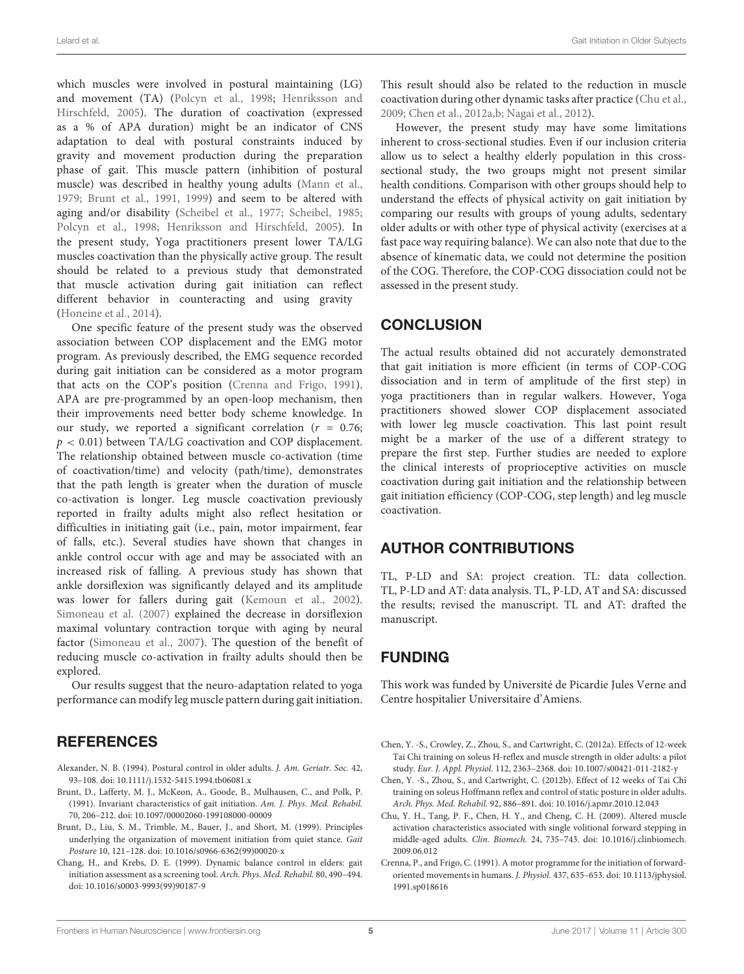which muscles were involved in postural maintaining (LG) and movement (TA) [\(Polcyn et al.,](#page-5-3) [1998;](#page-5-3) [Henriksson and](#page-5-16) [Hirschfeld,](#page-5-16) [2005\)](#page-5-16). The duration of coactivation (expressed as a % of APA duration) might be an indicator of CNS adaptation to deal with postural constraints induced by gravity and movement production during the preparation phase of gait. This muscle pattern (inhibition of postural muscle) was described in healthy young adults [\(Mann et al.,](#page-5-2) [1979;](#page-5-2) [Brunt et al.,](#page-4-2) [1991,](#page-4-2) [1999\)](#page-4-4) and seem to be altered with aging and/or disability [\(Scheibel et al.,](#page-5-8) [1977;](#page-5-8) [Scheibel,](#page-5-9) [1985;](#page-5-9) [Polcyn et al.,](#page-5-3) [1998;](#page-5-3) [Henriksson and Hirschfeld,](#page-5-16) [2005\)](#page-5-16). In the present study, Yoga practitioners present lower TA/LG muscles coactivation than the physically active group. The result should be related to a previous study that demonstrated that muscle activation during gait initiation can reflect different behavior in counteracting and using gravity [\(Honeine et al.,](#page-5-28) [2014\)](#page-5-28).

One specific feature of the present study was the observed association between COP displacement and the EMG motor program. As previously described, the EMG sequence recorded during gait initiation can be considered as a motor program that acts on the COP's position [\(Crenna and Frigo,](#page-4-3) [1991\)](#page-4-3). APA are pre-programmed by an open-loop mechanism, then their improvements need better body scheme knowledge. In our study, we reported a significant correlation ( $r = 0.76$ ;  $p < 0.01$ ) between TA/LG coactivation and COP displacement. The relationship obtained between muscle co-activation (time of coactivation/time) and velocity (path/time), demonstrates that the path length is greater when the duration of muscle co-activation is longer. Leg muscle coactivation previously reported in frailty adults might also reflect hesitation or difficulties in initiating gait (i.e., pain, motor impairment, fear of falls, etc.). Several studies have shown that changes in ankle control occur with age and may be associated with an increased risk of falling. A previous study has shown that ankle dorsiflexion was significantly delayed and its amplitude was lower for fallers during gait [\(Kemoun et al.,](#page-5-29) [2002\)](#page-5-29). [Simoneau et al.](#page-5-30) [\(2007\)](#page-5-30) explained the decrease in dorsiflexion maximal voluntary contraction torque with aging by neural factor [\(Simoneau et al.,](#page-5-30) [2007\)](#page-5-30). The question of the benefit of reducing muscle co-activation in frailty adults should then be explored.

Our results suggest that the neuro-adaptation related to yoga performance can modify leg muscle pattern during gait initiation.

### **REFERENCES**

- <span id="page-4-0"></span>Alexander, N. B. (1994). Postural control in older adults. J. Am. Geriatr. Soc. 42, 93–108. [doi: 10.1111/j.1532-5415.1994.tb06081.x](https://doi.org/10.1111/j.1532-5415.1994.tb06081.x)
- <span id="page-4-2"></span>Brunt, D., Lafferty, M. J., McKeon, A., Goode, B., Mulhausen, C., and Polk, P. (1991). Invariant characteristics of gait initiation. Am. J. Phys. Med. Rehabil. 70, 206–212. [doi: 10.1097/00002060-199108000-00009](https://doi.org/10.1097/00002060-199108000-00009)
- <span id="page-4-4"></span>Brunt, D., Liu, S. M., Trimble, M., Bauer, J., and Short, M. (1999). Principles underlying the organization of movement initiation from quiet stance. Gait Posture 10, 121–128. [doi: 10.1016/s0966-6362\(99\)00020-x](https://doi.org/10.1016/s0966-6362(99)00020-x)
- <span id="page-4-1"></span>Chang, H., and Krebs, D. E. (1999). Dynamic balance control in elders: gait initiation assessment as a screening tool. Arch. Phys. Med. Rehabil. 80, 490–494. [doi: 10.1016/s0003-9993\(99\)90187-9](https://doi.org/10.1016/s0003-9993(99)90187-9)

This result should also be related to the reduction in muscle coactivation during other dynamic tasks after practice [\(Chu et al.,](#page-4-7) [2009;](#page-4-7) [Chen et al.,](#page-4-5) [2012a](#page-4-5)[,b;](#page-4-6) [Nagai et al.,](#page-5-23) [2012\)](#page-5-23).

However, the present study may have some limitations inherent to cross-sectional studies. Even if our inclusion criteria allow us to select a healthy elderly population in this crosssectional study, the two groups might not present similar health conditions. Comparison with other groups should help to understand the effects of physical activity on gait initiation by comparing our results with groups of young adults, sedentary older adults or with other type of physical activity (exercises at a fast pace way requiring balance). We can also note that due to the absence of kinematic data, we could not determine the position of the COG. Therefore, the COP-COG dissociation could not be assessed in the present study.

#### **CONCLUSION**

The actual results obtained did not accurately demonstrated that gait initiation is more efficient (in terms of COP-COG dissociation and in term of amplitude of the first step) in yoga practitioners than in regular walkers. However, Yoga practitioners showed slower COP displacement associated with lower leg muscle coactivation. This last point result might be a marker of the use of a different strategy to prepare the first step. Further studies are needed to explore the clinical interests of proprioceptive activities on muscle coactivation during gait initiation and the relationship between gait initiation efficiency (COP-COG, step length) and leg muscle coactivation.

#### AUTHOR CONTRIBUTIONS

TL, P-LD and SA: project creation. TL: data collection. TL, P-LD and AT: data analysis. TL, P-LD, AT and SA: discussed the results; revised the manuscript. TL and AT: drafted the manuscript.

# FUNDING

This work was funded by Université de Picardie Jules Verne and Centre hospitalier Universitaire d'Amiens.

- <span id="page-4-5"></span>Chen, Y. -S., Crowley, Z., Zhou, S., and Cartwright, C. (2012a). Effects of 12-week Tai Chi training on soleus H-reflex and muscle strength in older adults: a pilot study. Eur. J. Appl. Physiol. 112, 2363–2368. [doi: 10.1007/s00421-011-2182-y](https://doi.org/10.1007/s00421-011-2182-y)
- <span id="page-4-6"></span>Chen, Y. -S., Zhou, S., and Cartwright, C. (2012b). Effect of 12 weeks of Tai Chi training on soleus Hoffmann reflex and control of static posture in older adults. Arch. Phys. Med. Rehabil. 92, 886–891. [doi: 10.1016/j.apmr.2010.12.043](https://doi.org/10.1016/j.apmr.2010.12.043)
- <span id="page-4-7"></span>Chu, Y. H., Tang, P. F., Chen, H. Y., and Cheng, C. H. (2009). Altered muscle activation characteristics associated with single volitional forward stepping in middle-aged adults. Clin. Biomech. 24, 735–743. [doi: 10.1016/j.clinbiomech.](https://doi.org/10.1016/j.clinbiomech.2009.06.012) [2009.06.012](https://doi.org/10.1016/j.clinbiomech.2009.06.012)
- <span id="page-4-3"></span>Crenna, P., and Frigo, C. (1991). A motor programme for the initiation of forwardoriented movements in humans. J. Physiol. 437, 635–653. [doi: 10.1113/jphysiol.](https://doi.org/10.1113/jphysiol.1991.sp018616) [1991.sp018616](https://doi.org/10.1113/jphysiol.1991.sp018616)